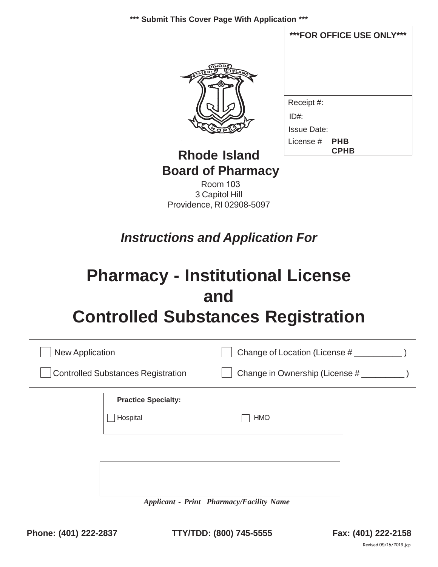

| ***FOR OFFICE USE ONLY***    |
|------------------------------|
|                              |
|                              |
|                              |
|                              |
|                              |
| Receipt #:                   |
| ID#                          |
| <b>Issue Date:</b>           |
| License # PHB<br><b>CPHB</b> |

## **Rhode Island Board of Pharmacy**

Room 103 3 Capitol Hill Providence, RI 02908-5097

# *Instructions and Application For*

# **Pharmacy - Institutional License and Controlled Substances Registration**

| <b>New Application</b>                    |                            | Change of Location (License #  |  |  |
|-------------------------------------------|----------------------------|--------------------------------|--|--|
| <b>Controlled Substances Registration</b> |                            | Change in Ownership (License # |  |  |
|                                           | <b>Practice Specialty:</b> |                                |  |  |
|                                           | Hospital                   | <b>HMO</b>                     |  |  |
|                                           |                            |                                |  |  |
|                                           |                            |                                |  |  |
|                                           |                            |                                |  |  |

*Applicant - Print Pharmacy/Facility Name*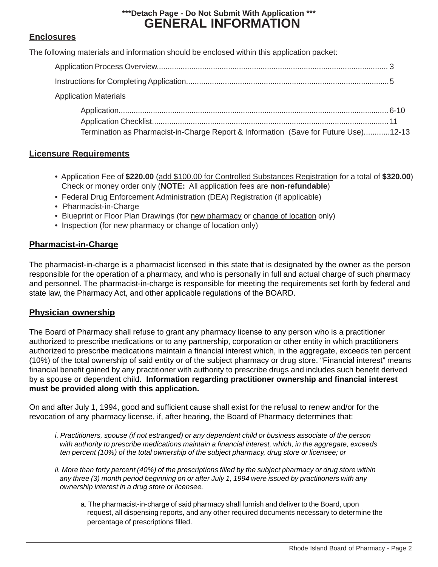**GENERAL INFORMATION \*\*\*Detach Page - Do Not Submit With Application \*\*\***

### **Enclosures**

The following materials and information should be enclosed within this application packet:

Application Materials

| Termination as Pharmacist-in-Charge Report & Information (Save for Future Use)12-13 |  |
|-------------------------------------------------------------------------------------|--|

### **Licensure Requirements**

- Application Fee of **\$220.00** (add \$100.00 for Controlled Substances Registration for a total of **\$320.00**) Check or money order only (**NOTE:** All application fees are **non-refundable**)
- Federal Drug Enforcement Administration (DEA) Registration (if applicable)
- Pharmacist-in-Charge
- Blueprint or Floor Plan Drawings (for new pharmacy or change of location only)
- Inspection (for new pharmacy or change of location only)

### **Pharmacist-in-Charge**

The pharmacist-in-charge is a pharmacist licensed in this state that is designated by the owner as the person responsible for the operation of a pharmacy, and who is personally in full and actual charge of such pharmacy and personnel. The pharmacist-in-charge is responsible for meeting the requirements set forth by federal and state law, the Pharmacy Act, and other applicable regulations of the BOARD.

### **Physician ownership**

The Board of Pharmacy shall refuse to grant any pharmacy license to any person who is a practitioner authorized to prescribe medications or to any partnership, corporation or other entity in which practitioners authorized to prescribe medications maintain a financial interest which, in the aggregate, exceeds ten percent (10%) of the total ownership of said entity or of the subject pharmacy or drug store. "Financial interest" means financial benefit gained by any practitioner with authority to prescribe drugs and includes such benefit derived by a spouse or dependent child. **Information regarding practitioner ownership and financial interest must be provided along with this application.**

On and after July 1, 1994, good and sufficient cause shall exist for the refusal to renew and/or for the revocation of any pharmacy license, if, after hearing, the Board of Pharmacy determines that:

- *i. Practitioners, spouse (if not estranged) or any dependent child or business associate of the person with authority to prescribe medications maintain a financial interest, which, in the aggregate, exceeds ten percent (10%) of the total ownership of the subject pharmacy, drug store or licensee; or*
- *ii. More than forty percent (40%) of the prescriptions filled by the subject pharmacy or drug store within any three (3) month period beginning on or after July 1, 1994 were issued by practitioners with any ownership interest in a drug store or licensee.*
	- a. The pharmacist-in-charge of said pharmacy shall furnish and deliver to the Board, upon request, all dispensing reports, and any other required documents necessary to determine the percentage of prescriptions filled.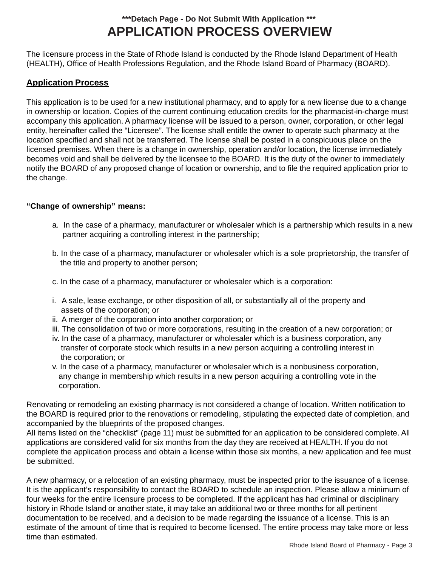The licensure process in the State of Rhode Island is conducted by the Rhode Island Department of Health (HEALTH), Office of Health Professions Regulation, and the Rhode Island Board of Pharmacy (BOARD).

### **Application Process**

This application is to be used for a new institutional pharmacy, and to apply for a new license due to a change in ownership or location. Copies of the current continuing education credits for the pharmacist-in-charge must accompany this application. A pharmacy license will be issued to a person, owner, corporation, or other legal entity, hereinafter called the "Licensee". The license shall entitle the owner to operate such pharmacy at the location specified and shall not be transferred. The license shall be posted in a conspicuous place on the licensed premises. When there is a change in ownership, operation and/or location, the license immediately becomes void and shall be delivered by the licensee to the BOARD. It is the duty of the owner to immediately notify the BOARD of any proposed change of location or ownership, and to file the required application prior to the change.

### **"Change of ownership" means:**

- a. In the case of a pharmacy, manufacturer or wholesaler which is a partnership which results in a new partner acquiring a controlling interest in the partnership;
- b. In the case of a pharmacy, manufacturer or wholesaler which is a sole proprietorship, the transfer of the title and property to another person;
- c. In the case of a pharmacy, manufacturer or wholesaler which is a corporation:
- i. A sale, lease exchange, or other disposition of all, or substantially all of the property and assets of the corporation; or
- ii. A merger of the corporation into another corporation; or
- iii. The consolidation of two or more corporations, resulting in the creation of a new corporation; or
- iv. In the case of a pharmacy, manufacturer or wholesaler which is a business corporation, any transfer of corporate stock which results in a new person acquiring a controlling interest in the corporation; or
- v. In the case of a pharmacy, manufacturer or wholesaler which is a nonbusiness corporation, any change in membership which results in a new person acquiring a controlling vote in the corporation.

Renovating or remodeling an existing pharmacy is not considered a change of location. Written notification to the BOARD is required prior to the renovations or remodeling, stipulating the expected date of completion, and accompanied by the blueprints of the proposed changes.

All items listed on the "checklist" (page 11) must be submitted for an application to be considered complete. All applications are considered valid for six months from the day they are received at HEALTH. If you do not complete the application process and obtain a license within those six months, a new application and fee must be submitted.

A new pharmacy, or a relocation of an existing pharmacy, must be inspected prior to the issuance of a license. It is the applicant's responsibility to contact the BOARD to schedule an inspection. Please allow a minimum of four weeks for the entire licensure process to be completed. If the applicant has had criminal or disciplinary history in Rhode Island or another state, it may take an additional two or three months for all pertinent documentation to be received, and a decision to be made regarding the issuance of a license. This is an estimate of the amount of time that is required to become licensed. The entire process may take more or less time than estimated.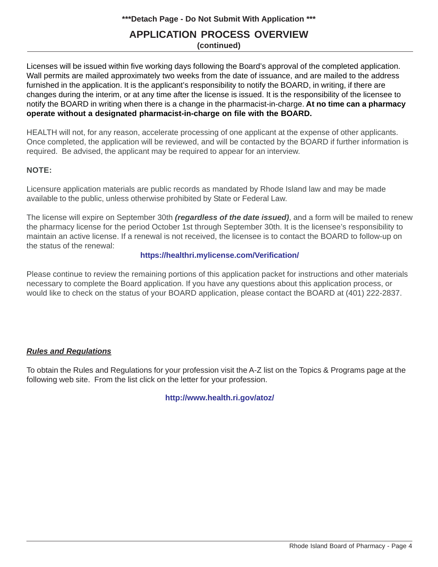### **APPLICATION PROCESS OVERVIEW**

**(continued)**

Licenses will be issued within five working days following the Board's approval of the completed application. Wall permits are mailed approximately two weeks from the date of issuance, and are mailed to the address furnished in the application. It is the applicant's responsibility to notify the BOARD, in writing, if there are changes during the interim, or at any time after the license is issued. It is the responsibility of the licensee to notify the BOARD in writing when there is a change in the pharmacist-in-charge. **At no time can a pharmacy operate without a designated pharmacist-in-charge on file with the BOARD.**

HEALTH will not, for any reason, accelerate processing of one applicant at the expense of other applicants. Once completed, the application will be reviewed, and will be contacted by the BOARD if further information is required. Be advised, the applicant may be required to appear for an interview.

### **NOTE:**

Licensure application materials are public records as mandated by Rhode Island law and may be made available to the public, unless otherwise prohibited by State or Federal Law.

The license will expire on September 30th *(regardless of the date issued)*, and a form will be mailed to renew the pharmacy license for the period October 1st through September 30th. It is the licensee's responsibility to maintain an active license. If a renewal is not received, the licensee is to contact the BOARD to follow-up on the status of the renewal:

### **https://healthri.mylicense.com/Verification/**

Please continue to review the remaining portions of this application packet for instructions and other materials necessary to complete the Board application. If you have any questions about this application process, or would like to check on the status of your BOARD application, please contact the BOARD at (401) 222-2837.

### *Rules and Regulations*

To obtain the Rules and Regulations for your profession visit the A-Z list on the Topics & Programs page at the following web site. From the list click on the letter for your profession.

### **http://www.health.ri.gov/atoz/**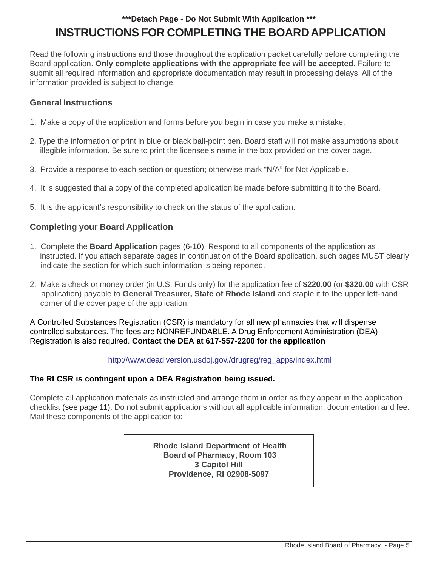### **INSTRUCTIONS FOR COMPLETING THE BOARD APPLICATION \*\*\*Detach Page - Do Not Submit With Application \*\*\***

Read the following instructions and those throughout the application packet carefully before completing the Board application. **Only complete applications with the appropriate fee will be accepted.** Failure to submit all required information and appropriate documentation may result in processing delays. All of the information provided is subject to change.

### **General Instructions**

- 1. Make a copy of the application and forms before you begin in case you make a mistake.
- 2. Type the information or print in blue or black ball-point pen. Board staff will not make assumptions about illegible information. Be sure to print the licensee's name in the box provided on the cover page.
- 3. Provide a response to each section or question; otherwise mark "N/A" for Not Applicable.
- 4. It is suggested that a copy of the completed application be made before submitting it to the Board.
- 5. It is the applicant's responsibility to check on the status of the application.

### **Completing your Board Application**

- 1. Complete the **Board Application** pages (6-10). Respond to all components of the application as instructed. If you attach separate pages in continuation of the Board application, such pages MUST clearly indicate the section for which such information is being reported.
- 2. Make a check or money order (in U.S. Funds only) for the application fee of **\$220.00** (or **\$320.00** with CSR application) payable to **General Treasurer, State of Rhode Island** and staple it to the upper left-hand corner of the cover page of the application.

A Controlled Substances Registration (CSR) is mandatory for all new pharmacies that will dispense controlled substances. The fees are NONREFUNDABLE. A Drug Enforcement Administration (DEA) Registration is also required. **Contact the DEA at 617-557-2200 for the application**

### http://www.deadiversion.usdoj.gov./drugreg/reg\_apps/index.html

### **The RI CSR is contingent upon a DEA Registration being issued.**

Complete all application materials as instructed and arrange them in order as they appear in the application checklist (see page 11). Do not submit applications without all applicable information, documentation and fee. Mail these components of the application to:

> **Rhode Island Department of Health Board of Pharmacy, Room 103 3 Capitol Hill Providence, RI 02908-5097**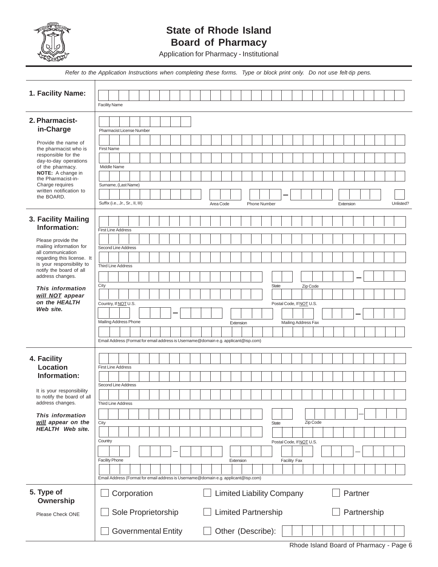

### **State of Rhode Island Board of Pharmacy**

Application for Pharmacy - Institutional

| Refer to the Application Instructions when completing these forms. Type or block print only. Do not use felt-tip pens. |                                                                                    |             |  |  |
|------------------------------------------------------------------------------------------------------------------------|------------------------------------------------------------------------------------|-------------|--|--|
|                                                                                                                        |                                                                                    |             |  |  |
| 1. Facility Name:                                                                                                      |                                                                                    |             |  |  |
|                                                                                                                        | <b>Facility Name</b>                                                               |             |  |  |
| 2. Pharmacist-                                                                                                         |                                                                                    |             |  |  |
| in-Charge                                                                                                              | Pharmacist License Number                                                          |             |  |  |
| Provide the name of                                                                                                    |                                                                                    |             |  |  |
| the pharmacist who is<br>responsible for the                                                                           | <b>First Name</b>                                                                  |             |  |  |
| day-to-day operations<br>of the pharmacy.                                                                              | Middle Name                                                                        |             |  |  |
| <b>NOTE:</b> A change in<br>the Pharmacist-in-                                                                         |                                                                                    |             |  |  |
| Charge requires<br>written notification to                                                                             | Surname, (Last Name)                                                               |             |  |  |
| the BOARD.                                                                                                             | Suffix (i.e., Jr., Sr., II, III)<br>Area Code<br><b>Phone Number</b><br>Extension  | Unlisted?   |  |  |
|                                                                                                                        |                                                                                    |             |  |  |
| 3. Facility Mailing                                                                                                    |                                                                                    |             |  |  |
| Information:                                                                                                           | First Line Address                                                                 |             |  |  |
| Please provide the<br>mailing information for                                                                          | Second Line Address                                                                |             |  |  |
| all communication<br>regarding this license. It                                                                        |                                                                                    |             |  |  |
| is your responsibility to<br>notify the board of all                                                                   | Third Line Address                                                                 |             |  |  |
| address changes.                                                                                                       |                                                                                    |             |  |  |
| This information                                                                                                       | City<br><b>State</b><br>Zip Code                                                   |             |  |  |
| will NOT appear<br>on the HEALTH                                                                                       | Country, If NOT U.S.<br>Postal Code, If NOT U.S.                                   |             |  |  |
| Web site.                                                                                                              |                                                                                    |             |  |  |
|                                                                                                                        | Mailing Address Phone<br>Mailing Address Fax<br>Extension                          |             |  |  |
|                                                                                                                        |                                                                                    |             |  |  |
|                                                                                                                        | Email Address (Format for email address is Username@domain e.g. applicant@isp.com) |             |  |  |
| 4. Facility                                                                                                            |                                                                                    |             |  |  |
| <b>Location</b>                                                                                                        | <b>First Line Address</b>                                                          |             |  |  |
| Information:                                                                                                           | Second Line Address                                                                |             |  |  |
| It is your responsibility<br>to notify the board of all                                                                |                                                                                    |             |  |  |
| address changes.                                                                                                       | Third Line Address                                                                 |             |  |  |
| This information                                                                                                       |                                                                                    |             |  |  |
| will appear on the<br><b>HEALTH</b> Web site.                                                                          | Zip Code<br>City<br><b>State</b>                                                   |             |  |  |
|                                                                                                                        | Country<br>Postal Code, If NOT U.S.                                                |             |  |  |
|                                                                                                                        |                                                                                    |             |  |  |
|                                                                                                                        | <b>Facility Phone</b><br><b>Facility Fax</b><br>Extension                          |             |  |  |
|                                                                                                                        |                                                                                    |             |  |  |
|                                                                                                                        | Email Address (Format for email address is Username@domain e.g. applicant@isp.com) |             |  |  |
| 5. Type of<br>Ownership                                                                                                | Corporation<br><b>Limited Liability Company</b><br>Partner                         |             |  |  |
| Please Check ONE                                                                                                       | Sole Proprietorship<br><b>Limited Partnership</b>                                  | Partnership |  |  |
|                                                                                                                        | Other (Describe):<br><b>Governmental Entity</b>                                    |             |  |  |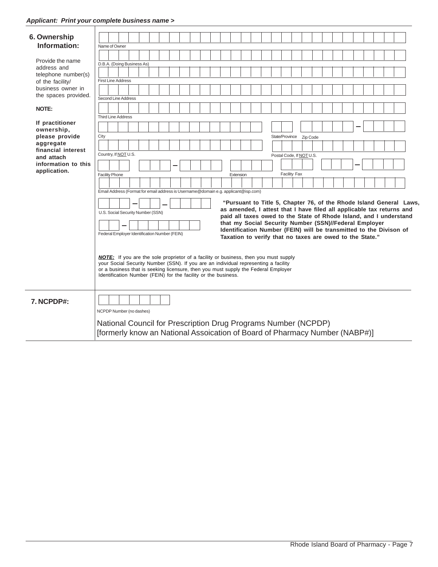| 6. Ownership                                                                                                                     |                                                                                                                                                                                                                                                                                                                                                                                                                                                                                                                                                                                                                                                                                                                                                                                                                                                                                                                                          |
|----------------------------------------------------------------------------------------------------------------------------------|------------------------------------------------------------------------------------------------------------------------------------------------------------------------------------------------------------------------------------------------------------------------------------------------------------------------------------------------------------------------------------------------------------------------------------------------------------------------------------------------------------------------------------------------------------------------------------------------------------------------------------------------------------------------------------------------------------------------------------------------------------------------------------------------------------------------------------------------------------------------------------------------------------------------------------------|
| Information:                                                                                                                     | Name of Owner                                                                                                                                                                                                                                                                                                                                                                                                                                                                                                                                                                                                                                                                                                                                                                                                                                                                                                                            |
|                                                                                                                                  |                                                                                                                                                                                                                                                                                                                                                                                                                                                                                                                                                                                                                                                                                                                                                                                                                                                                                                                                          |
| Provide the name<br>address and<br>telephone number(s)<br>of the facility/<br>business owner in<br>the spaces provided.<br>NOTE: | D.B.A. (Doing Business As)<br><b>First Line Address</b><br>Second Line Address<br><b>Third Line Address</b>                                                                                                                                                                                                                                                                                                                                                                                                                                                                                                                                                                                                                                                                                                                                                                                                                              |
| If practitioner<br>ownership,                                                                                                    |                                                                                                                                                                                                                                                                                                                                                                                                                                                                                                                                                                                                                                                                                                                                                                                                                                                                                                                                          |
| please provide                                                                                                                   | City<br>State/Province Zip Code                                                                                                                                                                                                                                                                                                                                                                                                                                                                                                                                                                                                                                                                                                                                                                                                                                                                                                          |
| aggregate                                                                                                                        |                                                                                                                                                                                                                                                                                                                                                                                                                                                                                                                                                                                                                                                                                                                                                                                                                                                                                                                                          |
| financial interest                                                                                                               | Country, If NOT U.S.<br>Postal Code, If NOT U.S.                                                                                                                                                                                                                                                                                                                                                                                                                                                                                                                                                                                                                                                                                                                                                                                                                                                                                         |
| and attach                                                                                                                       |                                                                                                                                                                                                                                                                                                                                                                                                                                                                                                                                                                                                                                                                                                                                                                                                                                                                                                                                          |
| information to this<br>application.                                                                                              |                                                                                                                                                                                                                                                                                                                                                                                                                                                                                                                                                                                                                                                                                                                                                                                                                                                                                                                                          |
|                                                                                                                                  | Facility Fax<br><b>Facility Phone</b><br>Extension                                                                                                                                                                                                                                                                                                                                                                                                                                                                                                                                                                                                                                                                                                                                                                                                                                                                                       |
|                                                                                                                                  |                                                                                                                                                                                                                                                                                                                                                                                                                                                                                                                                                                                                                                                                                                                                                                                                                                                                                                                                          |
|                                                                                                                                  | Email Address (Format for email address is Username@domain e.g. applicant@isp.com)<br>"Pursuant to Title 5, Chapter 76, of the Rhode Island General Laws,<br>as amended, I attest that I have filed all applicable tax returns and<br>U.S. Social Security Number (SSN)<br>paid all taxes owed to the State of Rhode Island, and I understand<br>that my Social Security Number (SSN)//Federal Employer<br>Identification Number (FEIN) will be transmitted to the Divison of<br>Federal Employer Identification Number (FEIN)<br>Taxation to verify that no taxes are owed to the State."<br><b>NOTE:</b> If you are the sole proprietor of a facility or business, then you must supply<br>your Social Security Number (SSN). If you are an individual representing a facility<br>or a business that is seeking licensure, then you must supply the Federal Employer<br>Identification Number (FEIN) for the facility or the business. |
| 7. NCPDP#:                                                                                                                       | NCPDP Number (no dashes)                                                                                                                                                                                                                                                                                                                                                                                                                                                                                                                                                                                                                                                                                                                                                                                                                                                                                                                 |
|                                                                                                                                  | National Council for Prescription Drug Programs Number (NCPDP)<br>[formerly know an National Assoication of Board of Pharmacy Number (NABP#)]                                                                                                                                                                                                                                                                                                                                                                                                                                                                                                                                                                                                                                                                                                                                                                                            |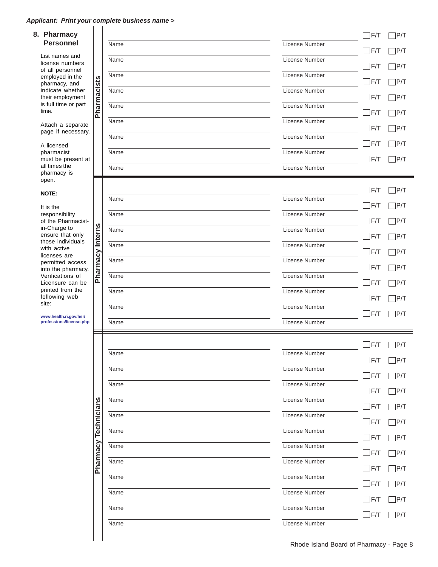#### *Applicant: Print your complete business name >*  $\vert \ \ \vert$

| 8. Pharmacy                                                          |             |      |                |
|----------------------------------------------------------------------|-------------|------|----------------|
| <b>Personnel</b>                                                     |             | Name | License Number |
| List names and<br>license numbers<br>of all personnel                |             | Name | License Number |
| employed in the<br>pharmacy, and                                     |             | Name | License Number |
| indicate whether<br>their employment                                 | Pharmacists | Name | License Number |
| is full time or part<br>time.                                        |             | Name | License Number |
| Attach a separate<br>page if necessary.                              |             | Name | License Number |
| A licensed                                                           |             | Name | License Number |
| pharmacist<br>must be present at                                     |             | Name | License Number |
| all times the<br>pharmacy is<br>open.                                |             | Name | License Number |
| <b>NOTE:</b>                                                         |             |      |                |
| It is the                                                            |             | Name | License Number |
| responsibility<br>of the Pharmacist-                                 |             | Name | License Number |
| in-Charge to<br>ensure that only                                     | Interns     | Name | License Number |
| those individuals<br>with active<br>licenses are                     |             | Name | License Number |
| permitted access<br>into the pharmacy.                               | harmacy     | Name | License Number |
| Verifications of<br>Licensure can be                                 | ൨           | Name | License Number |
| printed from the<br>following web<br>site:<br>www.health.ri.gov/hsr/ |             | Name | License Number |
|                                                                      |             | Name | License Number |
| professions/license.php                                              |             | Name | License Number |
|                                                                      |             |      |                |
|                                                                      |             | Name | License Number |
|                                                                      |             | Name | License Number |
|                                                                      |             | Name | License Number |
|                                                                      |             | Name | License Number |
|                                                                      | Technicians | Name | License Number |
|                                                                      |             | Name | License Number |
|                                                                      |             | Name | License Number |
|                                                                      | Pharmacy    | Name | License Number |
|                                                                      |             | Name | License Number |
|                                                                      |             | Name | License Number |
|                                                                      |             | Name | License Number |
|                                                                      |             | Name | License Number |
|                                                                      |             |      |                |

Rhode Island Board of Pharmacy - Page 8

 $\Box$ F/T  $\Box$ P/T

 $\Box$ F/T  $\Box$ P/T

 $\Box$ F/T  $\Box$ P/T

 $\Box$ F/T  $\Box$ P/T

 $\Box$ F/T  $\Box$ P/T

 $\Box$ F/T  $\Box$ P/T

 $\Box$ F/T  $\Box$ P/T

 $\Box$ F/T  $\Box$ P/T

 $\Box$ F/T  $\Box$ P/T

 $\Box$ F/T  $\Box$ P/T

 $\Box$ F/T  $\Box$ P/T

 $\Box$ F/T  $\Box$ P/T

 $\Box$ F/T  $\Box$ P/T

 $\Box$ F/T  $\Box$ P/T

 $\Box$ F/T  $\Box$ P/T

 $\Box$ F/T  $\Box$ P/T

 $\Box$ F/T  $\Box$ P/T

 $\Box$ F/T  $\Box$ P/T

 $\Box$ F/T  $\Box$ P/T

 $\overline{\phantom{a}}$ 

 $\Box$ F/T  $\Box$ P/T

 $\Box$ F/T  $\Box$ P/T

 $\Box$ F/T  $\Box$ P/T

 $\Box$ F/T  $\Box$ P/T

 $\Box$ F/T  $\Box$ P/T

 $\Box$ F/T  $\Box$ P/T

 $\Box$ F/T  $\Box$ P/T

 $\Box$ F/T  $\Box$ P/T

 $\Box$ F/T  $\Box$ P/T

 $\Box$ F/T  $\Box$ P/T

 $\Box$ F/T  $\Box$ P/T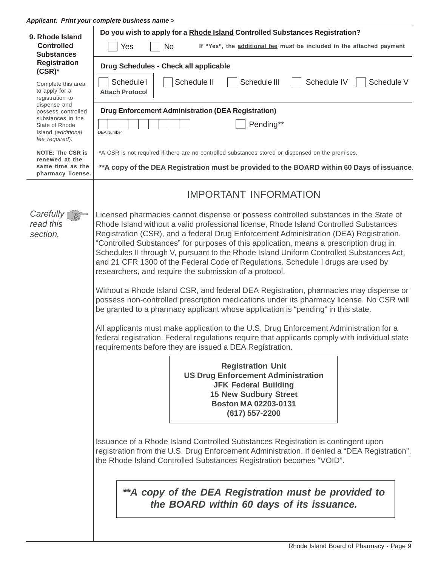#### *Applicant: Print your complete business name >*

| 9. Rhode Island                                                                                                                                                                                                                                                     | Do you wish to apply for a Rhode Island Controlled Substances Registration?                                                                                                                                                                         |  |
|---------------------------------------------------------------------------------------------------------------------------------------------------------------------------------------------------------------------------------------------------------------------|-----------------------------------------------------------------------------------------------------------------------------------------------------------------------------------------------------------------------------------------------------|--|
| <b>Controlled</b><br><b>Substances</b>                                                                                                                                                                                                                              | If "Yes", the additional fee must be included in the attached payment<br><b>No</b><br>Yes                                                                                                                                                           |  |
| <b>Registration</b><br>$(CSR)^*$                                                                                                                                                                                                                                    | Drug Schedules - Check all applicable                                                                                                                                                                                                               |  |
| Complete this area<br>to apply for a<br>registration to                                                                                                                                                                                                             | Schedule II<br>Schedule I<br>Schedule III<br>Schedule IV<br>Schedule V<br><b>Attach Protocol</b>                                                                                                                                                    |  |
| dispense and<br>possess controlled                                                                                                                                                                                                                                  | <b>Drug Enforcement Administration (DEA Registration)</b>                                                                                                                                                                                           |  |
| substances in the<br>State of Rhode<br>Island (additional<br>fee required).                                                                                                                                                                                         | Pending**<br><b>DEA Number</b>                                                                                                                                                                                                                      |  |
| <b>NOTE: The CSR is</b><br>renewed at the                                                                                                                                                                                                                           | *A CSR is not required if there are no controlled substances stored or dispensed on the premises.                                                                                                                                                   |  |
| same time as the<br>pharmacy license.                                                                                                                                                                                                                               | **A copy of the DEA Registration must be provided to the BOARD within 60 Days of issuance.                                                                                                                                                          |  |
| <b>IMPORTANT INFORMATION</b>                                                                                                                                                                                                                                        |                                                                                                                                                                                                                                                     |  |
| Carefully $\bigcap$<br>read this                                                                                                                                                                                                                                    | Licensed pharmacies cannot dispense or possess controlled substances in the State of                                                                                                                                                                |  |
| section.                                                                                                                                                                                                                                                            | Rhode Island without a valid professional license, Rhode Island Controlled Substances<br>Registration (CSR), and a federal Drug Enforcement Administration (DEA) Registration.                                                                      |  |
|                                                                                                                                                                                                                                                                     | "Controlled Substances" for purposes of this application, means a prescription drug in<br>Schedules II through V, pursuant to the Rhode Island Uniform Controlled Substances Act,                                                                   |  |
|                                                                                                                                                                                                                                                                     | and 21 CFR 1300 of the Federal Code of Regulations. Schedule I drugs are used by<br>researchers, and require the submission of a protocol.                                                                                                          |  |
| Without a Rhode Island CSR, and federal DEA Registration, pharmacies may dispense or<br>possess non-controlled prescription medications under its pharmacy license. No CSR will<br>be granted to a pharmacy applicant whose application is "pending" in this state. |                                                                                                                                                                                                                                                     |  |
|                                                                                                                                                                                                                                                                     | All applicants must make application to the U.S. Drug Enforcement Administration for a<br>federal registration. Federal regulations require that applicants comply with individual state<br>requirements before they are issued a DEA Registration. |  |
|                                                                                                                                                                                                                                                                     | <b>Registration Unit</b>                                                                                                                                                                                                                            |  |
|                                                                                                                                                                                                                                                                     | <b>US Drug Enforcement Administration</b><br><b>JFK Federal Building</b>                                                                                                                                                                            |  |
|                                                                                                                                                                                                                                                                     | <b>15 New Sudbury Street</b>                                                                                                                                                                                                                        |  |
|                                                                                                                                                                                                                                                                     | <b>Boston MA 02203-0131</b><br>(617) 557-2200                                                                                                                                                                                                       |  |
|                                                                                                                                                                                                                                                                     | Issuance of a Rhode Island Controlled Substances Registration is contingent upon                                                                                                                                                                    |  |
|                                                                                                                                                                                                                                                                     | registration from the U.S. Drug Enforcement Administration. If denied a "DEA Registration",<br>the Rhode Island Controlled Substances Registration becomes "VOID".                                                                                  |  |
|                                                                                                                                                                                                                                                                     |                                                                                                                                                                                                                                                     |  |
|                                                                                                                                                                                                                                                                     | **A copy of the DEA Registration must be provided to<br>the BOARD within 60 days of its issuance.                                                                                                                                                   |  |
|                                                                                                                                                                                                                                                                     |                                                                                                                                                                                                                                                     |  |
|                                                                                                                                                                                                                                                                     |                                                                                                                                                                                                                                                     |  |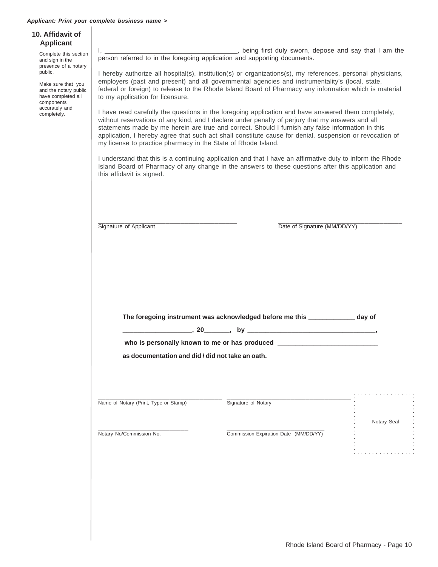| 10. Affidavit of<br><b>Applicant</b><br>Complete this section<br>and sign in the<br>presence of a notary<br>public.<br>Make sure that you<br>and the notary public<br>have completed all<br>components<br>accurately and<br>completely. | person referred to in the foregoing application and supporting documents.<br>to my application for licensure.<br>my license to practice pharmacy in the State of Rhode Island.<br>this affidavit is signed. | I hereby authorize all hospital(s), institution(s) or organizations(s), my references, personal physicians,<br>employers (past and present) and all governmental agencies and instrumentality's (local, state,<br>federal or foreign) to release to the Rhode Island Board of Pharmacy any information which is material<br>I have read carefully the questions in the foregoing application and have answered them completely,<br>without reservations of any kind, and I declare under penalty of perjury that my answers and all<br>statements made by me herein are true and correct. Should I furnish any false information in this<br>application, I hereby agree that such act shall constitute cause for denial, suspension or revocation of<br>I understand that this is a continuing application and that I have an affirmative duty to inform the Rhode<br>Island Board of Pharmacy of any change in the answers to these questions after this application and |             |
|-----------------------------------------------------------------------------------------------------------------------------------------------------------------------------------------------------------------------------------------|-------------------------------------------------------------------------------------------------------------------------------------------------------------------------------------------------------------|---------------------------------------------------------------------------------------------------------------------------------------------------------------------------------------------------------------------------------------------------------------------------------------------------------------------------------------------------------------------------------------------------------------------------------------------------------------------------------------------------------------------------------------------------------------------------------------------------------------------------------------------------------------------------------------------------------------------------------------------------------------------------------------------------------------------------------------------------------------------------------------------------------------------------------------------------------------------------|-------------|
|                                                                                                                                                                                                                                         | Signature of Applicant                                                                                                                                                                                      | Date of Signature (MM/DD/YY)<br>The foregoing instrument was acknowledged before me this ______________ day of<br>who is personally known to me or has produced __________________________________                                                                                                                                                                                                                                                                                                                                                                                                                                                                                                                                                                                                                                                                                                                                                                        |             |
|                                                                                                                                                                                                                                         | as documentation and did / did not take an oath.                                                                                                                                                            |                                                                                                                                                                                                                                                                                                                                                                                                                                                                                                                                                                                                                                                                                                                                                                                                                                                                                                                                                                           |             |
|                                                                                                                                                                                                                                         | Name of Notary (Print, Type or Stamp)                                                                                                                                                                       | Signature of Notary                                                                                                                                                                                                                                                                                                                                                                                                                                                                                                                                                                                                                                                                                                                                                                                                                                                                                                                                                       | Notary Seal |
|                                                                                                                                                                                                                                         | Notary No/Commission No.                                                                                                                                                                                    | Commission Expiration Date (MM/DD/YY)                                                                                                                                                                                                                                                                                                                                                                                                                                                                                                                                                                                                                                                                                                                                                                                                                                                                                                                                     |             |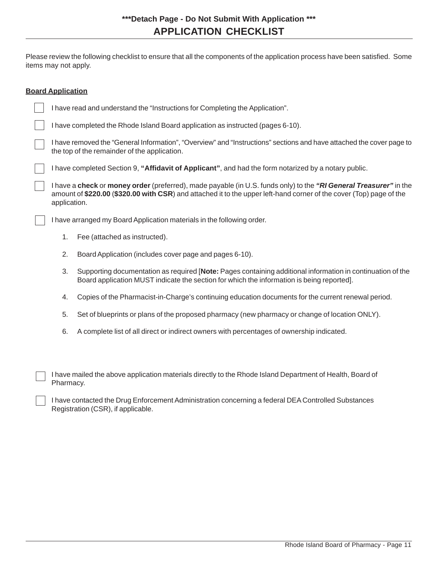Please review the following checklist to ensure that all the components of the application process have been satisfied. Some items may not apply.

| <b>Board Application</b>                                                                                                                                                                                                                                 |                                                                                                                                                                                                         |  |  |  |
|----------------------------------------------------------------------------------------------------------------------------------------------------------------------------------------------------------------------------------------------------------|---------------------------------------------------------------------------------------------------------------------------------------------------------------------------------------------------------|--|--|--|
| I have read and understand the "Instructions for Completing the Application".                                                                                                                                                                            |                                                                                                                                                                                                         |  |  |  |
| I have completed the Rhode Island Board application as instructed (pages 6-10).                                                                                                                                                                          |                                                                                                                                                                                                         |  |  |  |
| I have removed the "General Information", "Overview" and "Instructions" sections and have attached the cover page to<br>the top of the remainder of the application.                                                                                     |                                                                                                                                                                                                         |  |  |  |
|                                                                                                                                                                                                                                                          | I have completed Section 9, "Affidavit of Applicant", and had the form notarized by a notary public.                                                                                                    |  |  |  |
| I have a check or money order (preferred), made payable (in U.S. funds only) to the "RI General Treasurer" in the<br>amount of \$220.00 (\$320.00 with CSR) and attached it to the upper left-hand corner of the cover (Top) page of the<br>application. |                                                                                                                                                                                                         |  |  |  |
|                                                                                                                                                                                                                                                          | I have arranged my Board Application materials in the following order.                                                                                                                                  |  |  |  |
| Fee (attached as instructed).<br>1.                                                                                                                                                                                                                      |                                                                                                                                                                                                         |  |  |  |
| 2.<br>Board Application (includes cover page and pages 6-10).                                                                                                                                                                                            |                                                                                                                                                                                                         |  |  |  |
| 3.                                                                                                                                                                                                                                                       | Supporting documentation as required [Note: Pages containing additional information in continuation of the<br>Board application MUST indicate the section for which the information is being reported]. |  |  |  |
| 4.                                                                                                                                                                                                                                                       | Copies of the Pharmacist-in-Charge's continuing education documents for the current renewal period.                                                                                                     |  |  |  |
| 5.                                                                                                                                                                                                                                                       | Set of blueprints or plans of the proposed pharmacy (new pharmacy or change of location ONLY).                                                                                                          |  |  |  |
| 6.                                                                                                                                                                                                                                                       | A complete list of all direct or indirect owners with percentages of ownership indicated.                                                                                                               |  |  |  |
| Pharmacy.                                                                                                                                                                                                                                                | I have mailed the above application materials directly to the Rhode Island Department of Health, Board of                                                                                               |  |  |  |
| I have contacted the Drug Enforcement Administration concerning a federal DEA Controlled Substances<br>Registration (CSR), if applicable.                                                                                                                |                                                                                                                                                                                                         |  |  |  |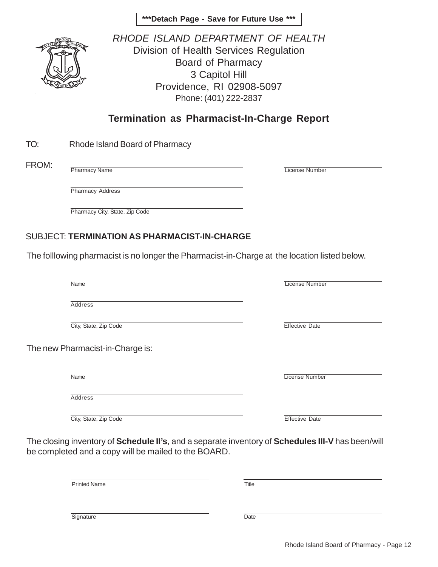**\*\*\*Detach Page - Save for Future Use \*\*\***



*RHODE ISLAND DEPARTMENT OF HEALTH* Division of Health Services Regulation Board of Pharmacy 3 Capitol Hill Providence, RI 02908-5097 Phone: (401) 222-2837

### **Termination as Pharmacist-In-Charge Report**

| TO: | Rhode Island Board of Pharmacy |
|-----|--------------------------------|
|     |                                |

FROM:

Pharmacy Name

License Number

Pharmacy Address

Pharmacy City, State, Zip Code

### SUBJECT: **TERMINATION AS PHARMACIST-IN-CHARGE**

The folllowing pharmacist is no longer the Pharmacist-in-Charge at the location listed below.

| Name                             | <b>License Number</b> |
|----------------------------------|-----------------------|
|                                  |                       |
| <b>Address</b>                   |                       |
| City, State, Zip Code            | <b>Effective Date</b> |
| The new Pharmacist-in-Charge is: |                       |
|                                  |                       |
| <b>Name</b>                      | <b>License Number</b> |
| Address                          |                       |
| City, State, Zip Code            | <b>Effective Date</b> |
|                                  |                       |

The closing inventory of **Schedule II's**, and a separate inventory of **Schedules III-V** has been/will be completed and a copy will be mailed to the BOARD.

| <b>Printed Name</b> | Title |
|---------------------|-------|
|                     |       |
| Signature           | Date  |